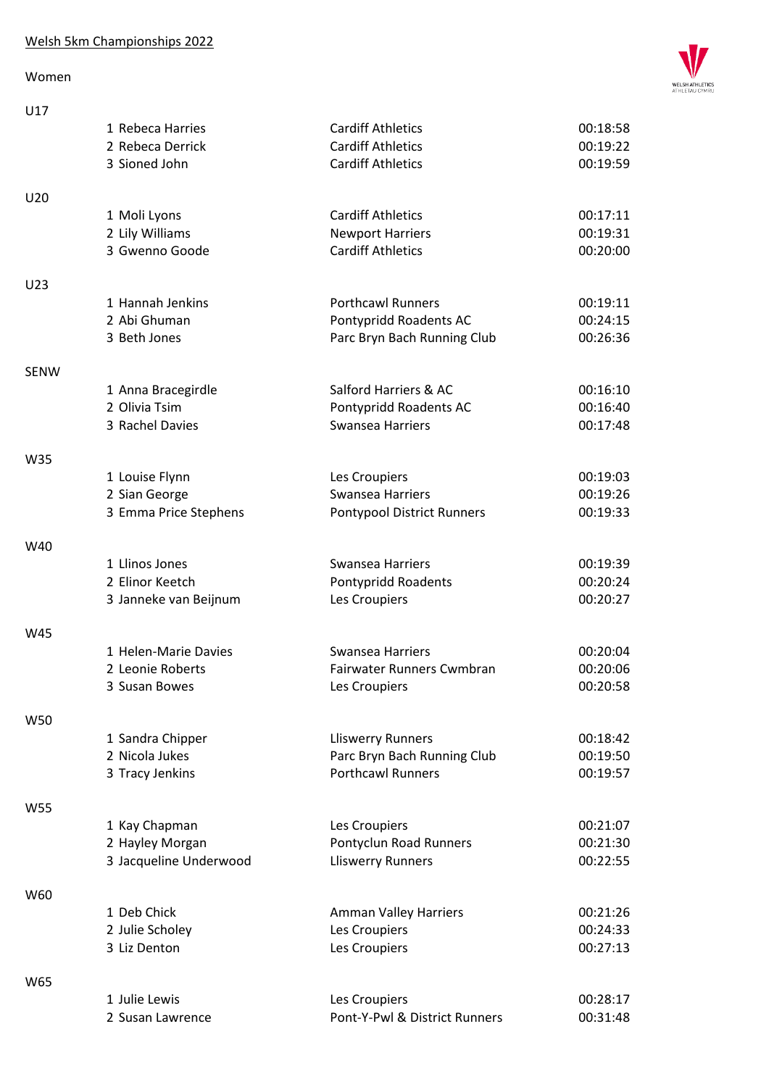## Women



| U17             |                        |                                   |          |
|-----------------|------------------------|-----------------------------------|----------|
|                 | 1 Rebeca Harries       | <b>Cardiff Athletics</b>          | 00:18:58 |
|                 | 2 Rebeca Derrick       | <b>Cardiff Athletics</b>          | 00:19:22 |
|                 | 3 Sioned John          | <b>Cardiff Athletics</b>          | 00:19:59 |
|                 |                        |                                   |          |
| U20             |                        |                                   |          |
|                 | 1 Moli Lyons           | <b>Cardiff Athletics</b>          | 00:17:11 |
|                 | 2 Lily Williams        | <b>Newport Harriers</b>           | 00:19:31 |
|                 | 3 Gwenno Goode         | <b>Cardiff Athletics</b>          | 00:20:00 |
| U <sub>23</sub> |                        |                                   |          |
|                 | 1 Hannah Jenkins       | <b>Porthcawl Runners</b>          | 00:19:11 |
|                 | 2 Abi Ghuman           | Pontypridd Roadents AC            | 00:24:15 |
|                 | 3 Beth Jones           | Parc Bryn Bach Running Club       | 00:26:36 |
|                 |                        |                                   |          |
| <b>SENW</b>     |                        |                                   |          |
|                 | 1 Anna Bracegirdle     | Salford Harriers & AC             | 00:16:10 |
|                 | 2 Olivia Tsim          | Pontypridd Roadents AC            | 00:16:40 |
|                 | 3 Rachel Davies        | <b>Swansea Harriers</b>           | 00:17:48 |
| W35             |                        |                                   |          |
|                 | 1 Louise Flynn         | Les Croupiers                     | 00:19:03 |
|                 | 2 Sian George          | <b>Swansea Harriers</b>           | 00:19:26 |
|                 | 3 Emma Price Stephens  | <b>Pontypool District Runners</b> | 00:19:33 |
|                 |                        |                                   |          |
| W40             |                        |                                   |          |
|                 | 1 Llinos Jones         | <b>Swansea Harriers</b>           | 00:19:39 |
|                 | 2 Elinor Keetch        | Pontypridd Roadents               | 00:20:24 |
|                 | 3 Janneke van Beijnum  | Les Croupiers                     | 00:20:27 |
| W45             |                        |                                   |          |
|                 | 1 Helen-Marie Davies   | <b>Swansea Harriers</b>           | 00:20:04 |
|                 | 2 Leonie Roberts       | Fairwater Runners Cwmbran         | 00:20:06 |
|                 | 3 Susan Bowes          | Les Croupiers                     | 00:20:58 |
|                 |                        |                                   |          |
| W50             |                        |                                   |          |
|                 | 1 Sandra Chipper       | <b>Lliswerry Runners</b>          | 00:18:42 |
|                 | 2 Nicola Jukes         | Parc Bryn Bach Running Club       | 00:19:50 |
|                 | 3 Tracy Jenkins        | <b>Porthcawl Runners</b>          | 00:19:57 |
| W55             |                        |                                   |          |
|                 | 1 Kay Chapman          | Les Croupiers                     | 00:21:07 |
|                 | 2 Hayley Morgan        | Pontyclun Road Runners            | 00:21:30 |
|                 | 3 Jacqueline Underwood | <b>Lliswerry Runners</b>          | 00:22:55 |
|                 |                        |                                   |          |
| W60             |                        |                                   |          |
|                 | 1 Deb Chick            | Amman Valley Harriers             | 00:21:26 |
|                 | 2 Julie Scholey        | Les Croupiers                     | 00:24:33 |
|                 | 3 Liz Denton           | Les Croupiers                     | 00:27:13 |
| W65             |                        |                                   |          |
|                 | 1 Julie Lewis          | Les Croupiers                     | 00:28:17 |
|                 | 2 Susan Lawrence       | Pont-Y-Pwl & District Runners     | 00:31:48 |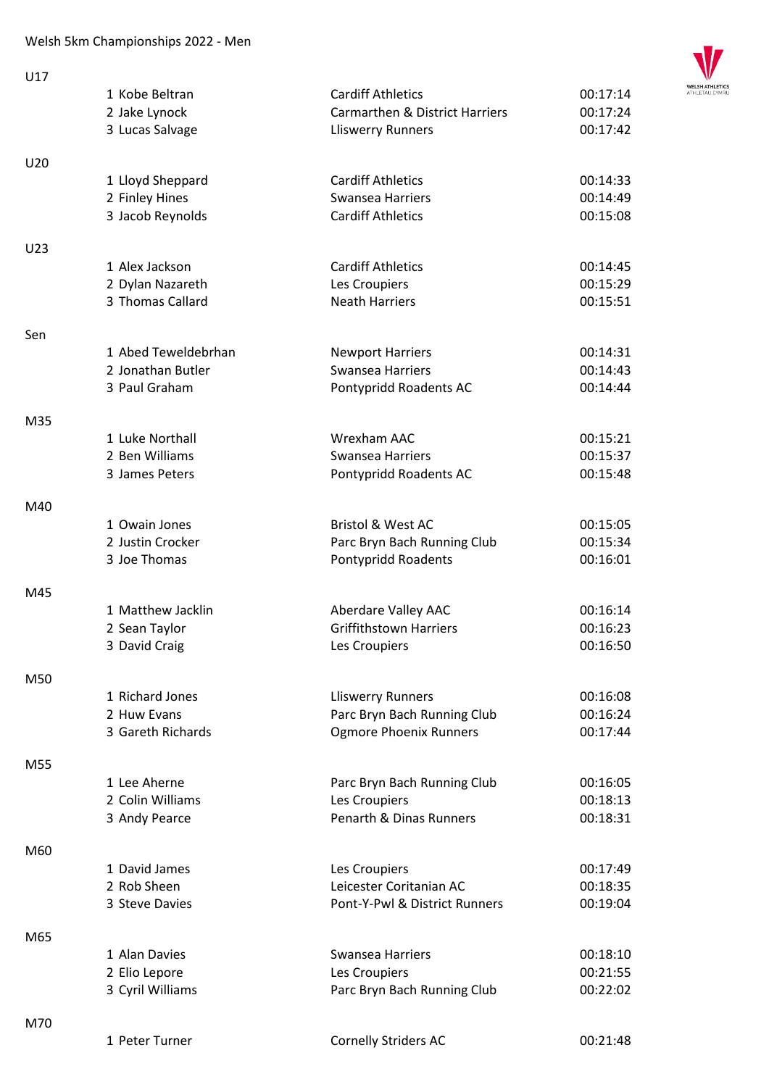

| U17 |                     |                                           |          |
|-----|---------------------|-------------------------------------------|----------|
|     | 1 Kobe Beltran      | <b>Cardiff Athletics</b>                  | 00:17:14 |
|     | 2 Jake Lynock       | <b>Carmarthen &amp; District Harriers</b> | 00:17:24 |
|     | 3 Lucas Salvage     | <b>Lliswerry Runners</b>                  | 00:17:42 |
|     |                     |                                           |          |
| U20 |                     |                                           |          |
|     | 1 Lloyd Sheppard    | <b>Cardiff Athletics</b>                  | 00:14:33 |
|     | 2 Finley Hines      | Swansea Harriers                          | 00:14:49 |
|     | 3 Jacob Reynolds    | <b>Cardiff Athletics</b>                  | 00:15:08 |
|     |                     |                                           |          |
| U23 |                     |                                           |          |
|     | 1 Alex Jackson      | <b>Cardiff Athletics</b>                  | 00:14:45 |
|     | 2 Dylan Nazareth    | Les Croupiers                             | 00:15:29 |
|     | 3 Thomas Callard    | <b>Neath Harriers</b>                     | 00:15:51 |
| Sen |                     |                                           |          |
|     | 1 Abed Teweldebrhan | <b>Newport Harriers</b>                   | 00:14:31 |
|     | 2 Jonathan Butler   | Swansea Harriers                          | 00:14:43 |
|     | 3 Paul Graham       | Pontypridd Roadents AC                    | 00:14:44 |
|     |                     |                                           |          |
| M35 |                     |                                           |          |
|     | 1 Luke Northall     | Wrexham AAC                               | 00:15:21 |
|     | 2 Ben Williams      | Swansea Harriers                          | 00:15:37 |
|     | 3 James Peters      | Pontypridd Roadents AC                    | 00:15:48 |
|     |                     |                                           |          |
| M40 |                     |                                           |          |
|     | 1 Owain Jones       | <b>Bristol &amp; West AC</b>              | 00:15:05 |
|     | 2 Justin Crocker    | Parc Bryn Bach Running Club               | 00:15:34 |
|     | 3 Joe Thomas        | Pontypridd Roadents                       | 00:16:01 |
|     |                     |                                           |          |
| M45 |                     |                                           |          |
|     | 1 Matthew Jacklin   | Aberdare Valley AAC                       | 00:16:14 |
|     | 2 Sean Taylor       | <b>Griffithstown Harriers</b>             | 00:16:23 |
|     | 3 David Craig       | Les Croupiers                             | 00:16:50 |
| M50 |                     |                                           |          |
|     | 1 Richard Jones     | <b>Lliswerry Runners</b>                  | 00:16:08 |
|     | 2 Huw Evans         | Parc Bryn Bach Running Club               | 00:16:24 |
|     | 3 Gareth Richards   | <b>Ogmore Phoenix Runners</b>             | 00:17:44 |
|     |                     |                                           |          |
| M55 |                     |                                           |          |
|     | 1 Lee Aherne        | Parc Bryn Bach Running Club               | 00:16:05 |
|     | 2 Colin Williams    | Les Croupiers                             | 00:18:13 |
|     | 3 Andy Pearce       | Penarth & Dinas Runners                   | 00:18:31 |
|     |                     |                                           |          |
| M60 |                     |                                           |          |
|     | 1 David James       | Les Croupiers                             | 00:17:49 |
|     | 2 Rob Sheen         | Leicester Coritanian AC                   | 00:18:35 |
|     | 3 Steve Davies      | Pont-Y-Pwl & District Runners             | 00:19:04 |
|     |                     |                                           |          |
| M65 |                     |                                           |          |
|     | 1 Alan Davies       | Swansea Harriers                          | 00:18:10 |
|     | 2 Elio Lepore       | Les Croupiers                             | 00:21:55 |
|     | 3 Cyril Williams    | Parc Bryn Bach Running Club               | 00:22:02 |
| M70 |                     |                                           |          |
|     | 1 Peter Turner      | <b>Cornelly Striders AC</b>               | 00:21:48 |
|     |                     |                                           |          |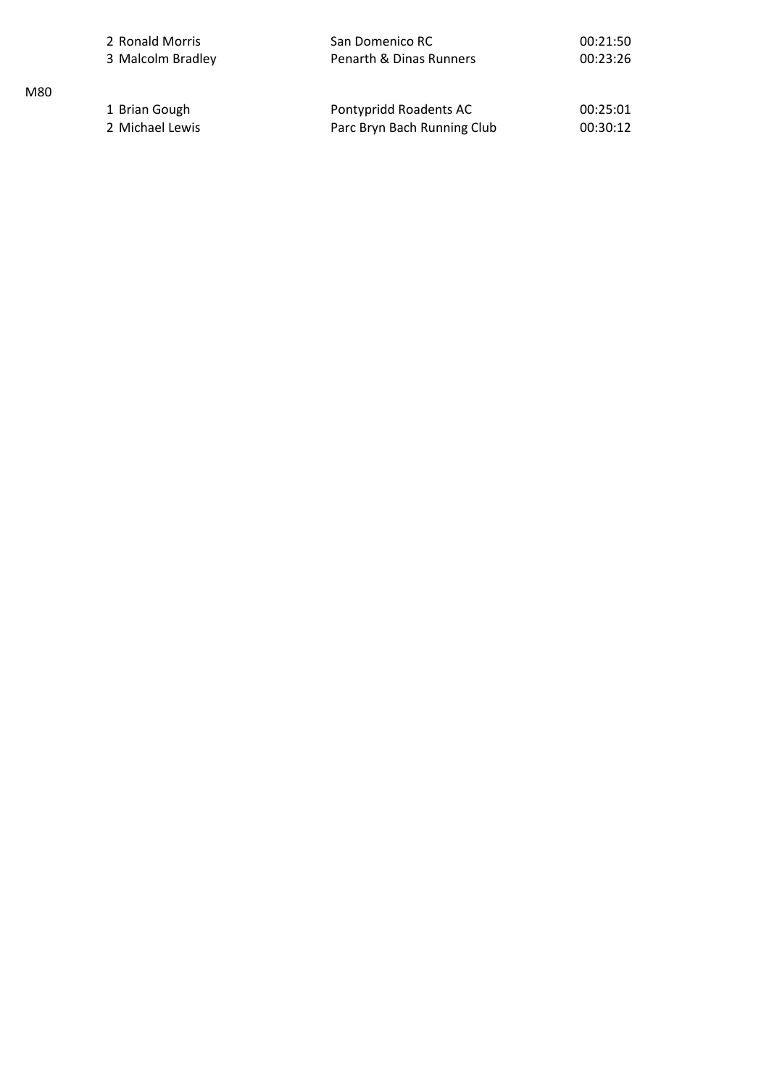|     | 2 Ronald Morris   | San Domenico RC             | 00:21:50 |
|-----|-------------------|-----------------------------|----------|
|     | 3 Malcolm Bradley | Penarth & Dinas Runners     | 00:23:26 |
| M80 |                   |                             |          |
|     | 1 Brian Gough     | Pontypridd Roadents AC      | 00:25:01 |
|     | 2 Michael Lewis   | Parc Bryn Bach Running Club | 00:30:12 |